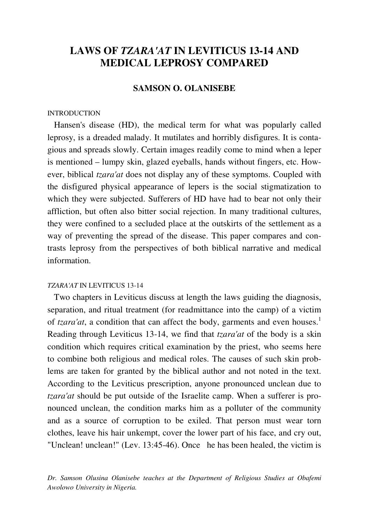# **LAWS OF** *TZARA'AT* **IN LEVITICUS 13-14 AND MEDICAL LEPROSY COMPARED**

### **SAMSON O. OLANISEBE**

#### INTRODUCTION

 Hansen's disease (HD), the medical term for what was popularly called leprosy, is a dreaded malady. It mutilates and horribly disfigures. It is contagious and spreads slowly. Certain images readily come to mind when a leper is mentioned – lumpy skin, glazed eyeballs, hands without fingers, etc. However, biblical *tzara'at* does not display any of these symptoms. Coupled with the disfigured physical appearance of lepers is the social stigmatization to which they were subjected. Sufferers of HD have had to bear not only their affliction, but often also bitter social rejection. In many traditional cultures, they were confined to a secluded place at the outskirts of the settlement as a way of preventing the spread of the disease. This paper compares and contrasts leprosy from the perspectives of both biblical narrative and medical information.

#### *TZARA'AT* IN LEVITICUS 13-14

 Two chapters in Leviticus discuss at length the laws guiding the diagnosis, separation, and ritual treatment (for readmittance into the camp) of a victim of *tzara'at*, a condition that can affect the body, garments and even houses.<sup>1</sup> Reading through Leviticus 13-14, we find that *tzara'at* of the body is a skin condition which requires critical examination by the priest, who seems here to combine both religious and medical roles. The causes of such skin problems are taken for granted by the biblical author and not noted in the text. According to the Leviticus prescription, anyone pronounced unclean due to *tzara'at* should be put outside of the Israelite camp. When a sufferer is pronounced unclean, the condition marks him as a polluter of the community and as a source of corruption to be exiled. That person must wear torn clothes, leave his hair unkempt, cover the lower part of his face, and cry out, "Unclean! unclean!" (Lev. 13:45-46). Once he has been healed, the victim is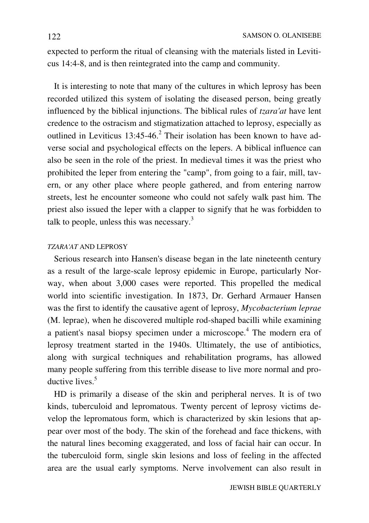expected to perform the ritual of cleansing with the materials listed in Leviticus 14:4-8, and is then reintegrated into the camp and community.

 It is interesting to note that many of the cultures in which leprosy has been recorded utilized this system of isolating the diseased person, being greatly influenced by the biblical injunctions. The biblical rules of *tzara'at* have lent credence to the ostracism and stigmatization attached to leprosy, especially as outlined in Leviticus  $13:45-46$ .<sup>2</sup> Their isolation has been known to have adverse social and psychological effects on the lepers. A biblical influence can also be seen in the role of the priest. In medieval times it was the priest who prohibited the leper from entering the "camp", from going to a fair, mill, tavern, or any other place where people gathered, and from entering narrow streets, lest he encounter someone who could not safely walk past him. The priest also issued the leper with a clapper to signify that he was forbidden to talk to people, unless this was necessary.<sup>3</sup>

### *TZARA'AT* AND LEPROSY

 Serious research into Hansen's disease began in the late nineteenth century as a result of the large-scale leprosy epidemic in Europe, particularly Norway, when about 3,000 cases were reported. This propelled the medical world into scientific investigation. In 1873, Dr. Gerhard Armauer Hansen was the first to identify the causative agent of leprosy, *Mycobacterium leprae* (M. leprae), when he discovered multiple rod-shaped bacilli while examining a patient's nasal biopsy specimen under a microscope.<sup>4</sup> The modern era of leprosy treatment started in the 1940s. Ultimately, the use of antibiotics, along with surgical techniques and rehabilitation programs, has allowed many people suffering from this terrible disease to live more normal and productive lives.<sup>5</sup>

 HD is primarily a disease of the skin and peripheral nerves. It is of two kinds, tuberculoid and lepromatous. Twenty percent of leprosy victims develop the lepromatous form, which is characterized by skin lesions that appear over most of the body. The skin of the forehead and face thickens, with the natural lines becoming exaggerated, and loss of facial hair can occur. In the tuberculoid form, single skin lesions and loss of feeling in the affected area are the usual early symptoms. Nerve involvement can also result in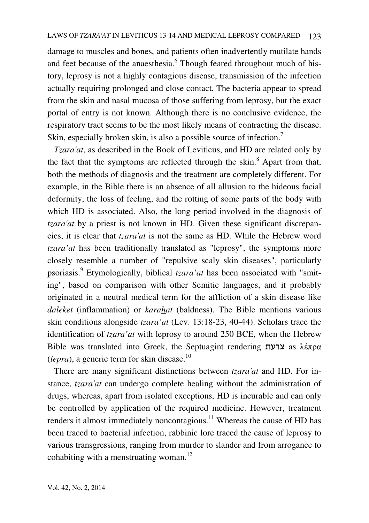damage to muscles and bones, and patients often inadvertently mutilate hands and feet because of the anaesthesia.<sup>6</sup> Though feared throughout much of history, leprosy is not a highly contagious disease, transmission of the infection actually requiring prolonged and close contact. The bacteria appear to spread from the skin and nasal mucosa of those suffering from leprosy, but the exact portal of entry is not known. Although there is no conclusive evidence, the respiratory tract seems to be the most likely means of contracting the disease. Skin, especially broken skin, is also a possible source of infection.<sup>7</sup>

 *Tzara'at*, as described in the Book of Leviticus, and HD are related only by the fact that the symptoms are reflected through the skin.<sup>8</sup> Apart from that, both the methods of diagnosis and the treatment are completely different. For example, in the Bible there is an absence of all allusion to the hideous facial deformity, the loss of feeling, and the rotting of some parts of the body with which HD is associated. Also, the long period involved in the diagnosis of *tzara'at* by a priest is not known in HD. Given these significant discrepancies, it is clear that *tzara'at* is not the same as HD. While the Hebrew word *tzara'at* has been traditionally translated as "leprosy", the symptoms more closely resemble a number of "repulsive scaly skin diseases", particularly psoriasis.<sup>9</sup> Etymologically, biblical *tzara'at* has been associated with "smiting", based on comparison with other Semitic languages, and it probably originated in a neutral medical term for the affliction of a skin disease like *daleket* (inflammation) or *karahat* (baldness). The Bible mentions various skin conditions alongside *tzara'at* (Lev. 13:18-23, 40-44). Scholars trace the identification of *tzara'at* with leprosy to around 250 BCE, when the Hebrew Bible was translated into Greek, the Septuagint rendering צרעת as λέπρα  $(lepra)$ , a generic term for skin disease.<sup>10</sup>

 There are many significant distinctions between *tzara'at* and HD. For instance, *tzara'at* can undergo complete healing without the administration of drugs, whereas, apart from isolated exceptions, HD is incurable and can only be controlled by application of the required medicine. However, treatment renders it almost immediately noncontagious.<sup>11</sup> Whereas the cause of HD has been traced to bacterial infection, rabbinic lore traced the cause of leprosy to various transgressions, ranging from murder to slander and from arrogance to cohabiting with a menstruating woman.<sup>12</sup>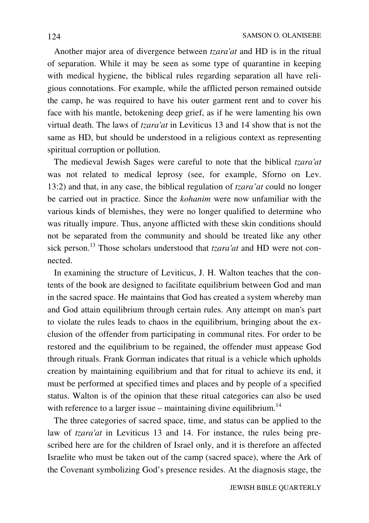Another major area of divergence between *tzara'at* and HD is in the ritual of separation. While it may be seen as some type of quarantine in keeping with medical hygiene, the biblical rules regarding separation all have religious connotations. For example, while the afflicted person remained outside the camp, he was required to have his outer garment rent and to cover his face with his mantle, betokening deep grief, as if he were lamenting his own virtual death. The laws of *tzara'at* in Leviticus 13 and 14 show that is not the same as HD, but should be understood in a religious context as representing spiritual corruption or pollution.

 The medieval Jewish Sages were careful to note that the biblical *tzara'at* was not related to medical leprosy (see, for example, Sforno on Lev. 13:2) and that, in any case, the biblical regulation of *tzara'at* could no longer be carried out in practice. Since the *kohanim* were now unfamiliar with the various kinds of blemishes, they were no longer qualified to determine who was ritually impure. Thus, anyone afflicted with these skin conditions should not be separated from the community and should be treated like any other sick person.<sup>13</sup> Those scholars understood that *tzara'at* and HD were not connected.

 In examining the structure of Leviticus, J. H. Walton teaches that the contents of the book are designed to facilitate equilibrium between God and man in the sacred space. He maintains that God has created a system whereby man and God attain equilibrium through certain rules. Any attempt on man's part to violate the rules leads to chaos in the equilibrium, bringing about the exclusion of the offender from participating in communal rites. For order to be restored and the equilibrium to be regained, the offender must appease God through rituals. Frank Gorman indicates that ritual is a vehicle which upholds creation by maintaining equilibrium and that for ritual to achieve its end, it must be performed at specified times and places and by people of a specified status. Walton is of the opinion that these ritual categories can also be used with reference to a larger issue – maintaining divine equilibrium.<sup>14</sup>

 The three categories of sacred space, time, and status can be applied to the law of *tzara'at* in Leviticus 13 and 14. For instance, the rules being prescribed here are for the children of Israel only, and it is therefore an affected Israelite who must be taken out of the camp (sacred space), where the Ark of the Covenant symbolizing God's presence resides. At the diagnosis stage, the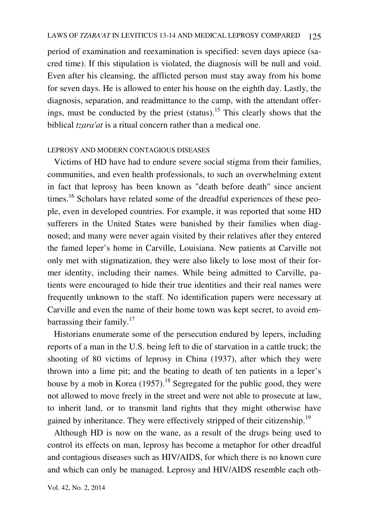period of examination and reexamination is specified: seven days apiece (sacred time). If this stipulation is violated, the diagnosis will be null and void. Even after his cleansing, the afflicted person must stay away from his home for seven days. He is allowed to enter his house on the eighth day. Lastly, the diagnosis, separation, and readmittance to the camp, with the attendant offerings, must be conducted by the priest (status).<sup>15</sup> This clearly shows that the biblical *tzara'at* is a ritual concern rather than a medical one.

### LEPROSY AND MODERN CONTAGIOUS DISEASES

 Victims of HD have had to endure severe social stigma from their families, communities, and even health professionals, to such an overwhelming extent in fact that leprosy has been known as "death before death" since ancient times.<sup>16</sup> Scholars have related some of the dreadful experiences of these people, even in developed countries. For example, it was reported that some HD sufferers in the United States were banished by their families when diagnosed; and many were never again visited by their relatives after they entered the famed leper's home in Carville, Louisiana. New patients at Carville not only met with stigmatization, they were also likely to lose most of their former identity, including their names. While being admitted to Carville, patients were encouraged to hide their true identities and their real names were frequently unknown to the staff. No identification papers were necessary at Carville and even the name of their home town was kept secret, to avoid embarrassing their family.<sup>17</sup>

 Historians enumerate some of the persecution endured by lepers, including reports of a man in the U.S. being left to die of starvation in a cattle truck; the shooting of 80 victims of leprosy in China (1937), after which they were thrown into a lime pit; and the beating to death of ten patients in a leper's house by a mob in Korea  $(1957)$ .<sup>18</sup> Segregated for the public good, they were not allowed to move freely in the street and were not able to prosecute at law, to inherit land, or to transmit land rights that they might otherwise have gained by inheritance. They were effectively stripped of their citizenship.<sup>19</sup>

 Although HD is now on the wane, as a result of the drugs being used to control its effects on man, leprosy has become a metaphor for other dreadful and contagious diseases such as HIV/AIDS, for which there is no known cure and which can only be managed. Leprosy and HIV/AIDS resemble each oth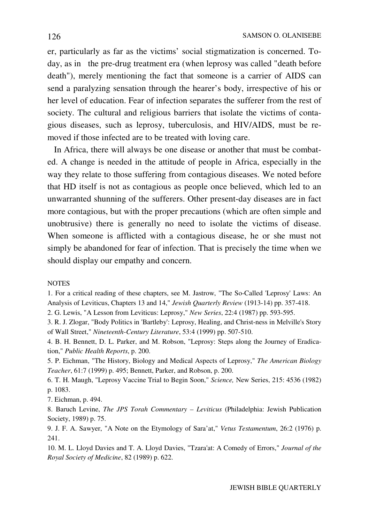er, particularly as far as the victims' social stigmatization is concerned. Today, as in the pre-drug treatment era (when leprosy was called "death before death"), merely mentioning the fact that someone is a carrier of AIDS can send a paralyzing sensation through the hearer's body, irrespective of his or her level of education. Fear of infection separates the sufferer from the rest of society. The cultural and religious barriers that isolate the victims of contagious diseases, such as leprosy, tuberculosis, and HIV/AIDS, must be removed if those infected are to be treated with loving care.

 In Africa, there will always be one disease or another that must be combated. A change is needed in the attitude of people in Africa, especially in the way they relate to those suffering from contagious diseases. We noted before that HD itself is not as contagious as people once believed, which led to an unwarranted shunning of the sufferers. Other present-day diseases are in fact more contagious, but with the proper precautions (which are often simple and unobtrusive) there is generally no need to isolate the victims of disease. When someone is afflicted with a contagious disease, he or she must not simply be abandoned for fear of infection. That is precisely the time when we should display our empathy and concern.

#### **NOTES**

1. For a critical reading of these chapters, see M. Jastrow, "The So-Called 'Leprosy' Laws: An Analysis of Leviticus, Chapters 13 and 14," *Jewish Quarterly Review* (1913-14) pp. 357-418.

2. G. Lewis, "A Lesson from Leviticus: Leprosy," *New Series*, 22:4 (1987) pp. 593-595.

3. R. J. Zlogar, "Body Politics in 'Bartleby': Leprosy, Healing, and Christ-ness in Melville's Story of Wall Street," *Nineteenth-Century Literature*, 53:4 (1999) pp. 507-510.

4. B. H. Bennett, D. L. Parker, and M. Robson, "Leprosy: Steps along the Journey of Eradication," *Public Health Reports*, p. 200.

5. P. Eichman, "The History, Biology and Medical Aspects of Leprosy," *The American Biology Teacher*, 61:7 (1999) p. 495; Bennett, Parker, and Robson, p. 200.

6. T. H. Maugh, "Leprosy Vaccine Trial to Begin Soon," *Science,* New Series, 215: 4536 (1982) p. 1083.

7. Eichman, p. 494.

8. Baruch Levine, *The JPS Torah Commentary – Leviticus* (Philadelphia: Jewish Publication Society, 1989) p. 75.

9. J. F. A. Sawyer, "A Note on the Etymology of Sara'at," *Vetus Testamentum*, 26:2 (1976) p. 241.

10. M. L. Lloyd Davies and T. A. Lloyd Davies, "Tzara'at: A Comedy of Errors," *Journal of the Royal Society of Medicine*, 82 (1989) p. 622.